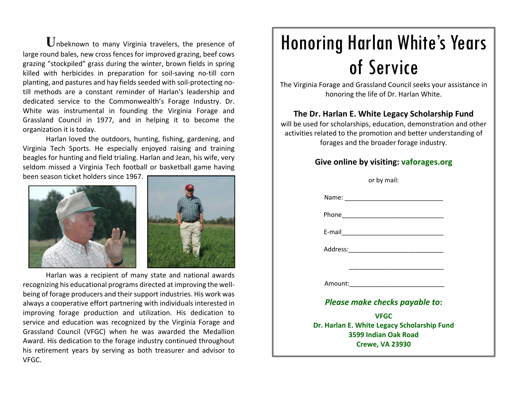**U**nbeknown to many Virginia travelers, the presence of large round bales, new cross fences for improved grazing, beef cows grazing "stockpiled" grass during the winter, brown fields in spring killed with herbicides in preparation for soil‐saving no‐till corn planting, and pastures and hay fieldsseeded with soil‐protecting no‐ till methods are <sup>a</sup> constant reminder of Harlan's leadership and dedicated service to the Commonwealth's Forage Industry. Dr. White was instrumental in founding the Virginia Forage and Grassland Council in 1977, and in helping it to become the organization it is today.

Harlan loved the outdoors, hunting, fishing, gardening, and Virginia Tech Sports. He especially enjoyed raising and training beagles for hunting and field trialing. Harlan and Jean, his wife, very seldom missed <sup>a</sup> Virginia Tech football or basketball game having

been season ticket holders since 1967.





Harlan was <sup>a</sup> recipient of many state and national awards recognizing his educational programs directed at improving the well‐ being of forage producers and their support industries. His work was always <sup>a</sup> cooperative effort partnering with individuals interested in improving forage production and utilization. His dedication to service and education was recognized by the Virginia Forage and Grassland Council (VFGC) when he was awarded the Medallion Award. His dedication to the forage industry continued throughout his retirement years by serving as both treasurer and advisor to VFGC.

## Honoring Harlan White's Years of Service

The Virginia Forage and Grassland Council seeks your assistance in honoring the life of Dr. Harlan White.

## **The Dr. Harlan E. White Legacy Scholarship Fund**

will be used for scholarships, education, demonstration and other activities related to the promotion and better understanding of forages and the broader forage industry.

## **Give online by visiting: vaforages.org**

| or by mail:                                                         |
|---------------------------------------------------------------------|
|                                                                     |
|                                                                     |
|                                                                     |
|                                                                     |
|                                                                     |
| Amount:__________________________________                           |
| Please make checks payable to:                                      |
| <b>VFGC</b>                                                         |
| Dr. Harlan E. White Legacy Scholarship Fund<br>3599 Indian Oak Road |
| <b>Crewe, VA 23930</b>                                              |
|                                                                     |